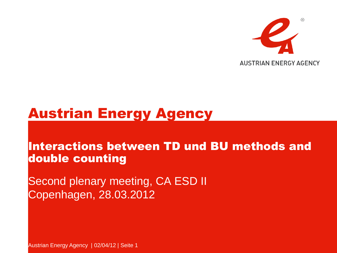

#### Austrian Energy Agency

#### Interactions between TD und BU methods and double counting

Second plenary meeting, CA ESD II Copenhagen, 28.03.2012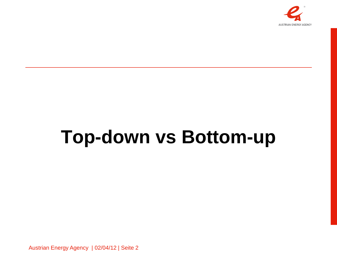

# **Top-down vs Bottom-up**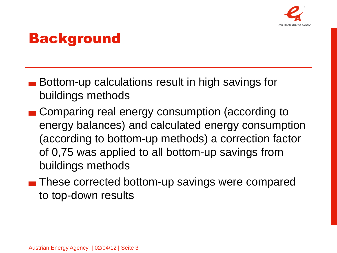

### **Background**

- Bottom-up calculations result in high savings for buildings methods
- **Comparing real energy consumption (according to** energy balances) and calculated energy consumption (according to bottom-up methods) a correction factor of 0,75 was applied to all bottom-up savings from buildings methods
- **These corrected bottom-up savings were compared** to top-down results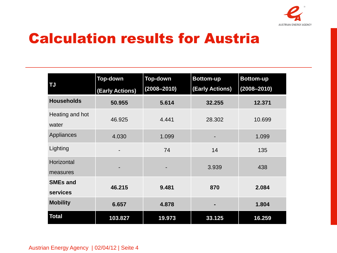

## Calculation results for Austria

| <b>TJ</b>                   | <b>Top-down</b> | <b>Top-down</b> | <b>Bottom-up</b> | <b>Bottom-up</b> |
|-----------------------------|-----------------|-----------------|------------------|------------------|
|                             | (Early Actions) | $(2008 - 2010)$ | (Early Actions)  | $(2008 - 2010)$  |
| <b>Households</b>           | 50.955          | 5.614           | 32.255           | 12.371           |
| Heating and hot<br>water    | 46.925          | 4.441           | 28.302           | 10.699           |
| Appliances                  | 4.030           | 1.099           |                  | 1.099            |
| Lighting                    |                 | 74              | 14               | 135              |
| Horizontal<br>measures      |                 |                 | 3.939            | 438              |
| <b>SMEs and</b><br>services | 46.215          | 9.481           | 870              | 2.084            |
| <b>Mobility</b>             | 6.657           | 4.878           |                  | 1.804            |
| <b>Total</b>                | 103.827         | 19.973          | 33.125           | 16.259           |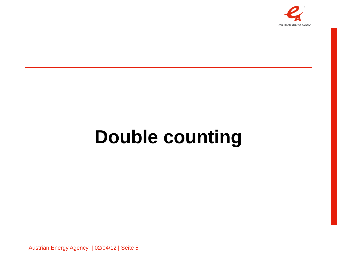

# **Double counting**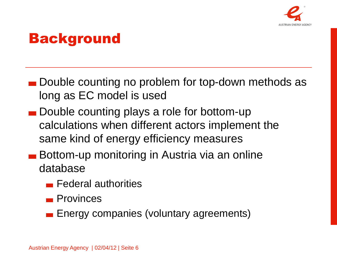

## **Background**

- **Double counting no problem for top-down methods as** long as EC model is used
- Double counting plays a role for bottom-up calculations when different actors implement the same kind of energy efficiency measures
- **Bottom-up monitoring in Austria via an online** database
	- **Federal authorities**
	- **Provinces**
	- **Energy companies (voluntary agreements)**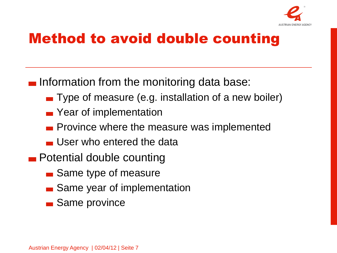

## Method to avoid double counting

 $\blacksquare$  Information from the monitoring data base:

- **Type of measure (e.g. installation of a new boiler)**
- **••** Year of implementation
- **Province where the measure was implemented**
- User who entered the data
- **Potential double counting** 
	- **Same type of measure**
	- **Same year of implementation**
	- **Same province**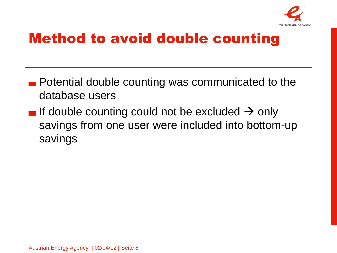

## Method to avoid double counting

- **Potential double counting was communicated to the** database users
- If double counting could not be excluded  $\rightarrow$  only savings from one user were included into bottom-up savings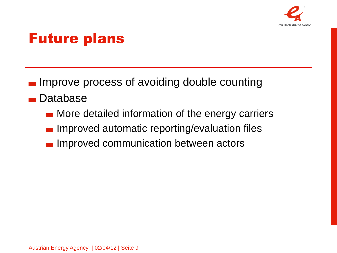

#### Future plans

- **IMPROVE process of avoiding double counting**
- **Database** 
	- **More detailed information of the energy carriers**
	- Improved automatic reporting/evaluation files
	- Improved communication between actors